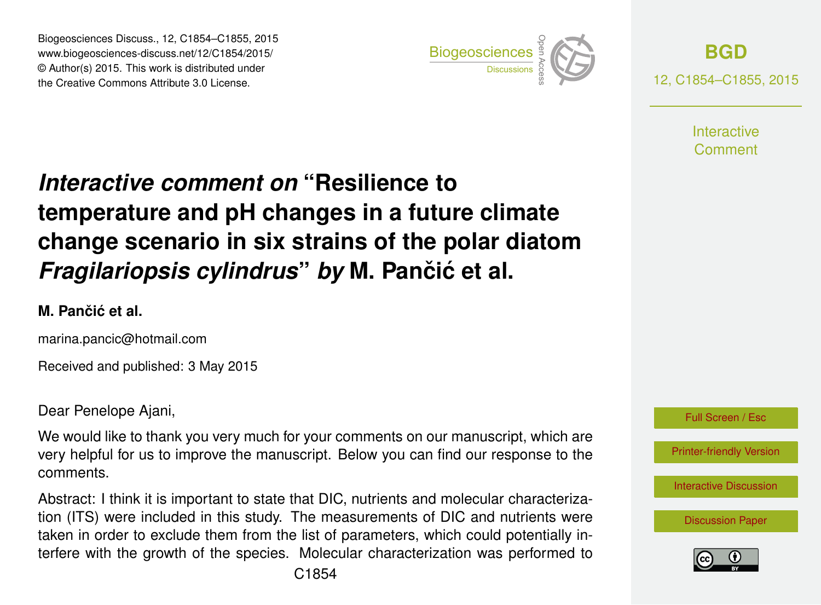Biogeosciences Discuss., 12, C1854–C1855, 2015 www.biogeosciences-discuss.net/12/C1854/2015/ © Author(s) 2015. This work is distributed under Biogeosciences Discuss., 12, C1854–C1855, 2015<br>www.biogeosciences-discuss.net/12/C1854/2015/<br>© Author(s) 2015. This work is distributed under<br>the Creative Commons Attribute 3.0 License.



**[BGD](http://www.biogeosciences-discuss.net)** 12, C1854–C1855, 2015

> **Interactive** Comment

## *Interactive comment on* **"Resilience to temperature and pH changes in a future climate change scenario in six strains of the polar diatom** *Fragilariopsis cylindrus by* M. Pančić et al.

## **M. Panciˇ c et al. ´**

marina.pancic@hotmail.com

Received and published: 3 May 2015

Dear Penelope Ajani,

We would like to thank you very much for your comments on our manuscript, which are very helpful for us to improve the manuscript. Below you can find our response to the comments.

Abstract: I think it is important to state that DIC, nutrients and molecular characterization (ITS) were included in this study. The measurements of DIC and nutrients were taken in order to exclude them from the list of parameters, which could potentially interfere with the growth of the species. Molecular characterization was performed to



[Printer-friendly Version](http://www.biogeosciences-discuss.net/12/C1854/2015/bgd-12-C1854-2015-print.pdf)

[Interactive Discussion](http://www.biogeosciences-discuss.net/12/4627/2015/bgd-12-4627-2015-discussion.html)

[Discussion Paper](http://www.biogeosciences-discuss.net/12/4627/2015/bgd-12-4627-2015.pdf)